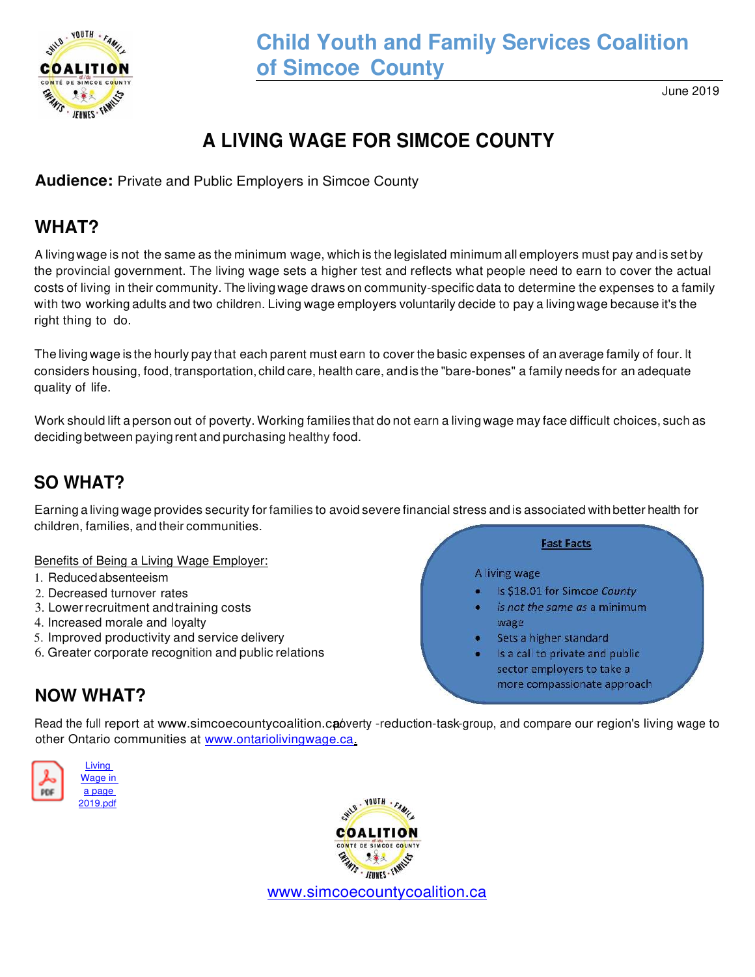

# **Child Youth and Family Services Coalition of Simcoe County**

June 2019

# **A LIVING WAGE FOR SIMCOE COUNTY**

**Audience:** Private and Public Employers in Simcoe County

## **WHAT?**

A living wage is not the same as the minimum wage, which is the legislated minimum all employers must pay and is set by the provincial government. The living wage sets a higher test and reflects what people need to earn to cover the actual costs of living in their community. Theliving wage draws on community-specific data to determine the expenses to a family with two working adults and two children. Living wage employers voluntarily decide to pay a living wage because it's the right thing to do.

The living wage is the hourly pay that each parent must earn to cover the basic expenses of an average family of four. It considers housing, food, transportation, child care, health care, andis the "bare-bones" a family needs for an adequate quality of life.

Work should lift a person out of poverty. Working families that do not earn a living wage may face difficult choices, such as deciding between paying rent and purchasing healthy food.

# **SO WHAT?**

Earning a living wage provides security for families to avoid severe financial stress and is associated with better health for children, families, and their communities.

#### Benefits of Being a Living Wage Employer:

- 1. Reduced absenteeism
- 2. Decreased turnover rates
- 3. Lower recruitment and training costs
- 4. Increased morale and loyalty
- 5. Improved productivity and service delivery
- 6. Greater corporate recognition and public relations

#### **Fast Facts**

#### A living wage

- Is \$18.01 for Simcoe County
- is not the same as a minimum wage
- Sets a higher standard
- Is a call to private and public sector employers to take a more compassionate approach

## **NOW WHAT?**

Read the full report at www.simcoecountycoalition.cap werty -reduction-task-group, and compare our region's living wage to other Ontario communities at [www.ontariolivingwage.ca.](https://www.ontariolivingwage.ca/)